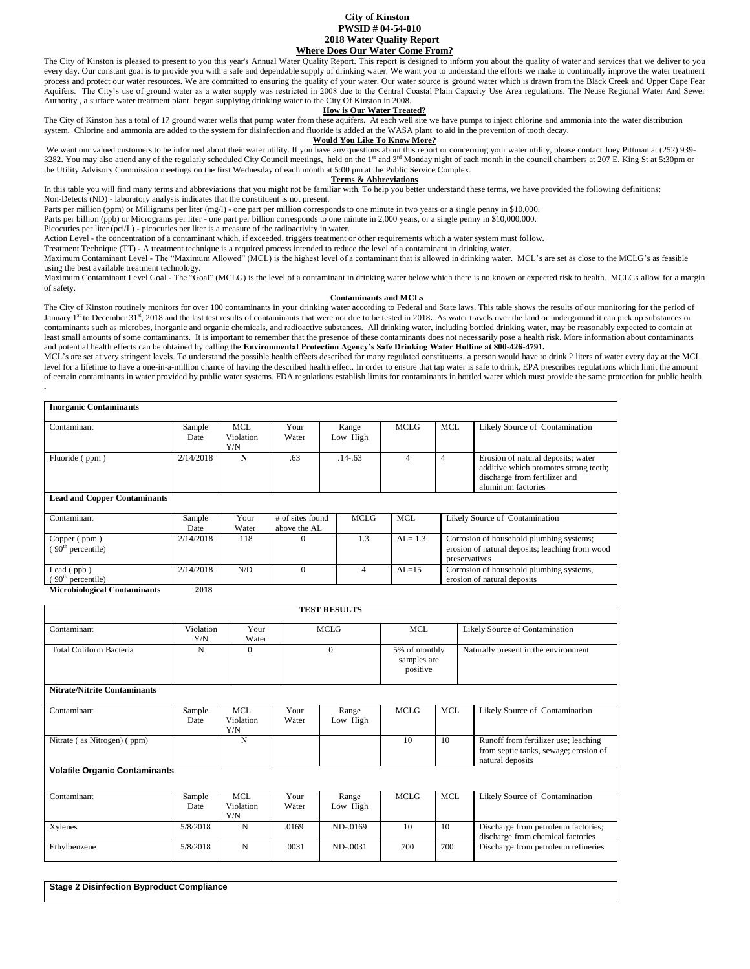# **City of Kinston PWSID # 04-54-010 2018 Water Quality Report Where Does Our Water Come From?**

The City of Kinston is pleased to present to you this year's Annual Water Quality Report. This report is designed to inform you about the quality of water and services that we deliver to you every day. Our constant goal is to provide you with a safe and dependable supply of drinking water. We want you to understand the efforts we make to continually improve the water treatment process and protect our water resources. We are committed to ensuring the quality of your water. Our water source is ground water which is drawn from the Black Creek and Upper Cape Fear Aquifers. The City's use of ground water as a water supply was restricted in 2008 due to the Central Coastal Plain Capacity Use Area regulations. The Neuse Regional Water And Sewer Authority , a surface water treatment plant began supplying drinking water to the City Of Kinston in 2008.

## **How is Our Water Treated?**

The City of Kinston has a total of 17 ground water wells that pump water from these aquifers. At each well site we have pumps to inject chlorine and ammonia into the water distribution system. Chlorine and ammonia are added to the system for disinfection and fluoride is added at the WASA plant to aid in the prevention of tooth decay.

### **Would You Like To Know More?**

We want our valued customers to be informed about their water utility. If you have any questions about this report or concerning your water utility, please contact Joey Pittman at (252) 939-<br>3282. You may also attend any the Utility Advisory Commission meetings on the first Wednesday of each month at 5:00 pm at the Public Service Complex.

## **Terms & Abbreviations**

In this table you will find many terms and abbreviations that you might not be familiar with. To help you better understand these terms, we have provided the following definitions: Non-Detects (ND) - laboratory analysis indicates that the constituent is not present.

Parts per million (ppm) or Milligrams per liter (mg/l) - one part per million corresponds to one minute in two years or a single penny in \$10,000.

Parts per billion (ppb) or Micrograms per liter - one part per billion corresponds to one minute in 2,000 years, or a single penny in \$10,000,000.

Picocuries per liter (pci/L) - picocuries per liter is a measure of the radioactivity in water.

Action Level - the concentration of a contaminant which, if exceeded, triggers treatment or other requirements which a water system must follow.

Treatment Technique (TT) - A treatment technique is a required process intended to reduce the level of a contaminant in drinking water.

Maximum Contaminant Level - The "Maximum Allowed" (MCL) is the highest level of a contaminant that is allowed in drinking water. MCL's are set as close to the MCLG's as feasible using the best available treatment technology.

Maximum Contaminant Level Goal - The "Goal" (MCLG) is the level of a contaminant in drinking water below which there is no known or expected risk to health. MCLGs allow for a margin of safety.

#### **Contaminants and MCLs**

The City of Kinston routinely monitors for over 100 contaminants in your drinking water according to Federal and State laws. This table shows the results of our monitoring for the period of January 1<sup>st</sup> to December 31<sup>st</sup>, 2018 and the last test results of contaminants that were not due to be tested in 2018. As water travels over the land or underground it can pick up substances or contaminants such as microbes, inorganic and organic chemicals, and radioactive substances. All drinking water, including bottled drinking water, may be reasonably expected to contain at least small amounts of some contaminants. It is important to remember that the presence of these contaminants does not necessarily pose a health risk. More information about contaminants and potential health effects can be obtained by calling the **Environmental Protection Agency's Safe Drinking Water Hotline at 800-426-4791.**

MCL's are set at very stringent levels. To understand the possible health effects described for many regulated constituents, a person would have to drink 2 liters of water every day at the MCL level for a lifetime to have a one-in-a-million chance of having the described health effect. In order to ensure that tap water is safe to drink, EPA prescribes regulations which limit the amount of certain contaminants in water provided by public water systems. FDA regulations establish limits for contaminants in bottled water which must provide the same protection for public health **.** 

| <b>Inorganic Contaminants</b>                 |                |                         |                                  |                   |            |            |                                                                                                                                    |
|-----------------------------------------------|----------------|-------------------------|----------------------------------|-------------------|------------|------------|------------------------------------------------------------------------------------------------------------------------------------|
| Contaminant                                   | Sample<br>Date | MCL<br>Violation<br>Y/N | Your<br>Water                    | Range<br>Low High | MCLG       | <b>MCL</b> | Likely Source of Contamination                                                                                                     |
| Fluoride (ppm)                                | 2/14/2018      | N                       | .63<br>$.14 - 63$                |                   | 4          | 4          | Erosion of natural deposits; water<br>additive which promotes strong teeth;<br>discharge from fertilizer and<br>aluminum factories |
| <b>Lead and Copper Contaminants</b>           |                |                         |                                  |                   |            |            |                                                                                                                                    |
| Contaminant                                   | Sample<br>Date | Your<br>Water           | # of sites found<br>above the AL | <b>MCLG</b>       | <b>MCL</b> |            | Likely Source of Contamination                                                                                                     |
| Copper (ppm)<br>(90 <sup>th</sup> percentile) | 2/14/2018      | .118                    | $^{(1)}$                         | 1.3               | $AI = 1.3$ |            | Corrosion of household plumbing systems;<br>erosion of natural deposits; leaching from wood<br>preservatives                       |
| Lead $($ ppb)<br>$90th$ percentile)           | 2/14/2018      | N/D                     | $\theta$                         | 4                 | $AI = 15$  |            | Corrosion of household plumbing systems,<br>erosion of natural deposits                                                            |

**Microbiological Contaminants 2018**

|                                      |                  |                                |               | <b>TEST RESULTS</b> |             |                                          |                                                                                                   |  |
|--------------------------------------|------------------|--------------------------------|---------------|---------------------|-------------|------------------------------------------|---------------------------------------------------------------------------------------------------|--|
| Contaminant                          | Violation<br>Y/N | Your<br>Water                  |               | <b>MCLG</b>         | <b>MCL</b>  |                                          | Likely Source of Contamination                                                                    |  |
| <b>Total Coliform Bacteria</b>       | N                | $\Omega$                       |               | $\Omega$            |             | 5% of monthly<br>samples are<br>positive | Naturally present in the environment                                                              |  |
| <b>Nitrate/Nitrite Contaminants</b>  |                  |                                |               |                     |             |                                          |                                                                                                   |  |
| Contaminant                          | Sample<br>Date   | <b>MCL</b><br>Violation<br>Y/N | Your<br>Water | Range<br>Low High   | <b>MCLG</b> | <b>MCL</b>                               | Likely Source of Contamination                                                                    |  |
| Nitrate (as Nitrogen) (ppm)          |                  | N                              |               |                     | 10          | 10                                       | Runoff from fertilizer use; leaching<br>from septic tanks, sewage; erosion of<br>natural deposits |  |
| <b>Volatile Organic Contaminants</b> |                  |                                |               |                     |             |                                          |                                                                                                   |  |
| Contaminant                          | Sample<br>Date   | <b>MCL</b><br>Violation<br>Y/N | Your<br>Water | Range<br>Low High   | <b>MCLG</b> | <b>MCL</b>                               | Likely Source of Contamination                                                                    |  |
| Xylenes                              | 5/8/2018         | N                              | .0169         | ND-.0169            | 10          | 10                                       | Discharge from petroleum factories;<br>discharge from chemical factories                          |  |
| Ethylbenzene                         | 5/8/2018         | N                              | .0031         | ND-.0031            | 700         | 700                                      | Discharge from petroleum refineries                                                               |  |

**Stage 2 Disinfection Byproduct Compliance**